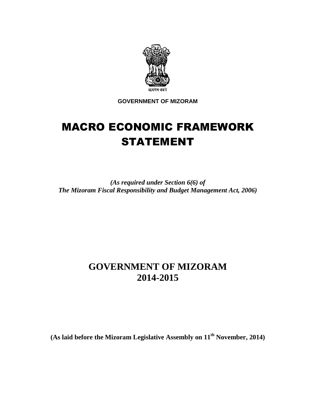

**GOVERNMENT OF MIZORAM** 

# MACRO ECONOMIC FRAMEWORK STATEMENT

*(As required under Section 6(6) of The Mizoram Fiscal Responsibility and Budget Management Act, 2006)* 

# **GOVERNMENT OF MIZORAM 2014-2015**

**(As laid before the Mizoram Legislative Assembly on 11th November, 2014)**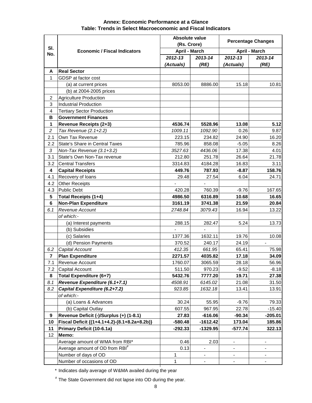#### **2012-13 2013-14 2012-13 2013-14 (Actuals) (RE) (Actuals) (RE) A Real Sector** 1 GDSP at factor cost (a) at current prices  $\begin{array}{|c|c|c|c|c|c|c|c|c|} \hline \end{array}$  8053.00 8886.00 15.18 10.81 (b) at 2004-2005 prices 2 Agriculture Production 3 Industrial Production 4 Tertiary Sector Production **B Government Finances 1 Revenue Receipts (2+3) 4536.74 5528.96 13.08 5.12** 2 Tax Revenue (2.1+2.2) 1009.11 1092.90 0.26 9.87 2.1 Own Tax Revenue 223.15 234.82 24.90 24.90 2.2 State's Share in Central Taxes 1 785.96 858.08 -5.05 8.26 3 Non-Tax Revenue (3.1+3.2) 3527.63 4436.06 17.38 4.01 3.1 State's Own Non-Tax revenue 212.80 251.78 26.64 21.78 3.2 Central Transfers 3314.83 4184.28 16.83 3.11 **4 Capital Receipts 449.76 787.93 -8.87 158.76** 4.1 Recovery of loans 29.48 29.48 27.54 6.04 24.71 4.2 Other Receipts 4.3 Public Debt 420.28 760.39 -9.76 167.65 **5 Total Receipts (1+4) 4986.50 6316.89 10.68 16.65 6 Non-Plan Expenditure 3161.19 3741.38 21.59 20.84** 6.1 Revenue Account 2748.84 3079.43 16.94 13.22 of which:- (a) Interest payments 288.15 282.47 5.24 13.73 (b) Subsidies and the state of the state of the state of the state of the state of the state of the state of the state of the state of the state of the state of the state of the state of the state of the state of the state (c) Salaries 1377.36 1632.11 19.76 10.08 (d) Pension Payments  $\vert$  370.52 240.17 24.19 6.2 Capital Account 412.35 661.95 65.41 75.98 **7 Plan Expenditure 2271.57 4035.82 17.18 34.09** 7.1 Revenue Account 1760.07 3065.59 28.18 56.96 7.2 Capital Account 511.50 970.23 -9.52 -8.18 **8 Total Expenditure (6+7) 5432.76 7777.20 19.71 27.38** 8.1 **Revenue Expenditure (6.1+7.1)** 4508.91 6145.02 21.08 31.50 8.2 **Capital Expenditure (6.2+7.2)** 923.85 1632.18 13.41 13.91 of which:- (a) Loans & Advances 30.24 55.95 -9.76 79.33 (b) Capital Outlay 607.55 967.95 22.78 -15.40 **9 Revenue Deficit (-)/Surplus (+) (1-8.1) 27.83 -616.06 -90.34 -205.01 10 Fiscal Deficit {(1+4.1+4.2)-(8.1+8.2a+8.2b)} -580.48 -1612.42 173.04 185.86 11 Primary Deficit (10-6.1a) -292.33 -1329.95 -577.74 322.13 Percentage Changes April - March April - March Sl. No. Economic / Fiscal Indicators Absolute value (Rs. Crore)**

#### **Annex: Economic Performance at a Glance Table: Trends in Select Macroeconomic and Fiscal Indicators**

\* Indicates daily average of W&MA availed during the year

Number of days of OD 1 1

Average amount of OD from RBI<sup>#</sup>

12 **Memo:**

# The State Government did not lapse into OD during the year.

Average amount of WMA from RBI\*  $0.46$   $2.03$   $-$ 

Number of occasions of OD 1 - - -

0.13 - | - | -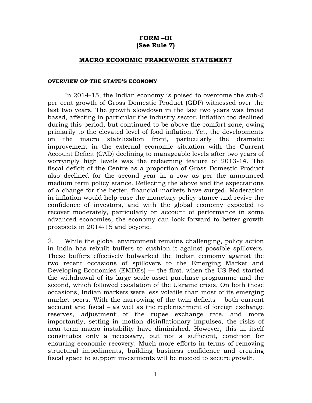### **FORM –III (See Rule 7)**

#### **MACRO ECONOMIC FRAMEWORK STATEMENT**

#### **OVERVIEW OF THE STATE'S ECONOMY**

In 2014-15, the Indian economy is poised to overcome the sub-5 per cent growth of Gross Domestic Product (GDP) witnessed over the last two years. The growth slowdown in the last two years was broad based, affecting in particular the industry sector. Inflation too declined during this period, but continued to be above the comfort zone, owing primarily to the elevated level of food inflation. Yet, the developments on the macro stabilization front, particularly the dramatic improvement in the external economic situation with the Current Account Deficit (CAD) declining to manageable levels after two years of worryingly high levels was the redeeming feature of 2013-14. The fiscal deficit of the Centre as a proportion of Gross Domestic Product also declined for the second year in a row as per the announced medium term policy stance. Reflecting the above and the expectations of a change for the better, financial markets have surged. Moderation in inflation would help ease the monetary policy stance and revive the confidence of investors, and with the global economy expected to recover moderately, particularly on account of performance in some advanced economies, the economy can look forward to better growth prospects in 2014-15 and beyond.

2. While the global environment remains challenging, policy action in India has rebuilt buffers to cushion it against possible spillovers. These buffers effectively bulwarked the Indian economy against the two recent occasions of spillovers to the Emerging Market and Developing Economies (EMDEs) — the first, when the US Fed started the withdrawal of its large scale asset purchase programme and the second, which followed escalation of the Ukraine crisis. On both these occasions, Indian markets were less volatile than most of its emerging market peers. With the narrowing of the twin deficits – both current account and fiscal – as well as the replenishment of foreign exchange reserves, adjustment of the rupee exchange rate, and more importantly, setting in motion disinflationary impulses, the risks of near-term macro instability have diminished. However, this in itself constitutes only a necessary, but not a sufficient, condition for ensuring economic recovery. Much more efforts in terms of removing structural impediments, building business confidence and creating fiscal space to support investments will be needed to secure growth.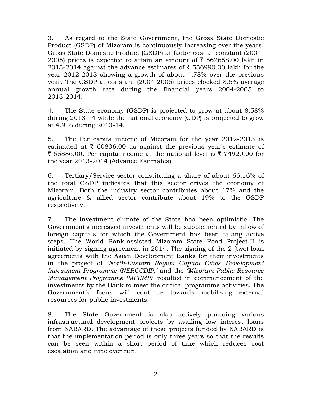3. As regard to the State Government, the Gross State Domestic Product (GSDP) of Mizoram is continuously increasing over the years. Gross State Domestic Product (GSDP) at factor cost at constant (2004- 2005) prices is expected to attain an amount of  $\bar{\tau}$  562658.00 lakh in 2013-2014 against the advance estimates of  $\bar{\tau}$  536990.00 lakh for the year 2012-2013 showing a growth of about 4.78% over the previous year. The GSDP at constant (2004-2005) prices clocked 8.5% average annual growth rate during the financial years 2004-2005 to 2013-2014.

4. The State economy (GSDP) is projected to grow at about 8.58% during 2013-14 while the national economy (GDP) is projected to grow at 4.9 % during 2013-14.

5. The Per capita income of Mizoram for the year 2012-2013 is estimated at  $\bar{\tau}$  60836.00 as against the previous vear's estimate of  $\bar{\tau}$  55886.00. Per capita income at the national level is  $\bar{\tau}$  74920.00 for the year 2013-2014 (Advance Estimates).

6. Tertiary/Service sector constituting a share of about 66.16% of the total GSDP indicates that this sector drives the economy of Mizoram. Both the industry sector contributes about 17% and the agriculture & allied sector contribute about 19% to the GSDP respectively.

7. The investment climate of the State has been optimistic. The Government's increased investments will be supplemented by inflow of foreign capitals for which the Government has been taking active steps. The World Bank-assisted Mizoram State Road Project-II is initiated by signing agreement in 2014. The signing of the 2 (two) loan agreements with the Asian Development Banks for their investments in the project of *'North-Eastern Region Capital Cities Development Investment Programme (NERCCDIP)'* and the *'Mizoram Public Resource Management Programme (MPRMP)'* resulted in commencement of the investments by the Bank to meet the critical programme activities. The Government's focus will continue towards mobilizing external resources for public investments.

8. The State Government is also actively pursuing various infrastructural development projects by availing low interest loans from NABARD. The advantage of these projects funded by NABARD is that the implementation period is only three years so that the results can be seen within a short period of time which reduces cost escalation and time over run.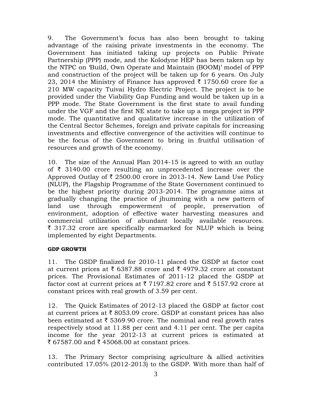9. The Government's focus has also been brought to taking advantage of the raising private investments in the economy. The Government has initiated taking up projects on Public Private Partnership (PPP) mode, and the Kolodyne HEP has been taken up by the NTPC on 'Build, Own Operate and Maintain (BOOM)' model of PPP and construction of the project will be taken up for 6 years. On July 23, 2014 the Ministry of Finance has approved  $\bar{\tau}$  1750.60 crore for a 210 MW capacity Tuivai Hydro Electric Project. The project is to be provided under the Viability Gap Funding and would be taken up in a PPP mode. The State Government is the first state to avail funding under the VGF and the first NE state to take up a mega project in PPP mode. The quantitative and qualitative increase in the utilization of the Central Sector Schemes, foreign and private capitals for increasing investments and effective convergence of the activities will continue to be the focus of the Government to bring in fruitful utilisation of resources and growth of the economy.

10. The size of the Annual Plan 2014-15 is agreed to with an outlay of  $\bar{\tau}$  3140.00 crore resulting an unprecedented increase over the Approved Outlay of  $\bar{\tau}$  2500.00 crore in 2013-14. New Land Use Policy (NLUP), the Flagship Programme of the State Government continued to be the highest priority during 2013-2014. The programme aims at gradually changing the practice of jhumming with a new pattern of land use through empowerment of people, preservation of environment, adoption of effective water harvesting measures and commercial utilization of abundant locally available resources.  $\bar{\tau}$  317.32 crore are specifically earmarked for NLUP which is being implemented by eight Departments.

# **GDP GROWTH**

11. The GSDP finalized for 2010-11 placed the GSDP at factor cost at current prices at  $\bar{\tau}$  6387.88 crore and  $\bar{\tau}$  4979.32 crore at constant prices. The Provisional Estimates of 2011-12 placed the GSDP at factor cost at current prices at  $\bar{\tau}$  7197.82 crore and  $\bar{\tau}$  5157.92 crore at constant prices with real growth of 3.59 per cent.

12. The Quick Estimates of 2012-13 placed the GSDP at factor cost at current prices at  $\bar{\tau}$  8053.09 crore. GSDP at constant prices has also been estimated at  $\bar{\tau}$  5369.90 crore. The nominal and real growth rates respectively stood at 11.88 per cent and 4.11 per cent. The per capita income for the year 2012-13 at current prices is estimated at ₹ 67587.00 and ₹ 45068.00 at constant prices.

13. The Primary Sector comprising agriculture & allied activities contributed 17.05% (2012-2013) to the GSDP. With more than half of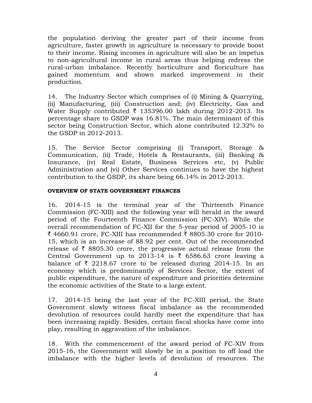the population deriving the greater part of their income from agriculture, faster growth in agriculture is necessary to provide boost to their income. Rising incomes in agriculture will also be an impetus to non-agricultural income in rural areas thus helping redress the rural-urban imbalance. Recently horticulture and floriculture has gained momentum and shown marked improvement in their production.

14. The Industry Sector which comprises of (i) Mining & Quarrying, (ii) Manufacturing, (iii) Construction and; (iv) Electricity, Gas and Water Supply contributed  $\bar{\tau}$  135396.00 lakh during 2012-2013. Its percentage share to GSDP was 16.81%. The main determinant of this sector being Construction Sector, which alone contributed 12.32% to the GSDP in 2012-2013.

15. The Service Sector comprising (i) Transport, Storage & Communication, (ii) Trade, Hotels & Restaurants, (iii) Banking & Insurance, (iv) Real Estate, Business Services etc, (v) Public Administration and (vi) Other Services continues to have the highest contribution to the GSDP, its share being 66.14% in 2012-2013.

#### **OVERVIEW OF STATE GOVERNMENT FINANCES**

16. 2014-15 is the terminal year of the Thirteenth Finance Commission (FC-XIII) and the following year will herald in the award period of the Fourteenth Finance Commission (FC-XIV). While the overall recommendation of FC-XII for the 5-year period of 2005-10 is ₹ 4660.91 crore, FC-XIII has recommended ₹ 8805.30 crore for 2010-15, which is an increase of 88.92 per cent. Out of the recommended release of  $\bar{\tau}$  8805.30 crore, the progressive actual release from the Central Government up to 2013-14 is  $\bar{\tau}$  6586.63 crore leaving a balance of  $\bar{\tau}$  2218.67 crore to be released during 2014-15. In an economy which is predominantly of Services Sector, the extent of public expenditure, the nature of expenditure and priorities determine the economic activities of the State to a large extent.

17. 2014-15 being the last year of the FC-XIII period, the State Government slowly witness fiscal imbalance as the recommended devolution of resources could hardly meet the expenditure that has been increasing rapidly. Besides, certain fiscal shocks have come into play, resulting in aggravation of the imbalance.

18. With the commencement of the award period of FC-XIV from 2015-16, the Government will slowly be in a position to off load the imbalance with the higher levels of devolution of resources. The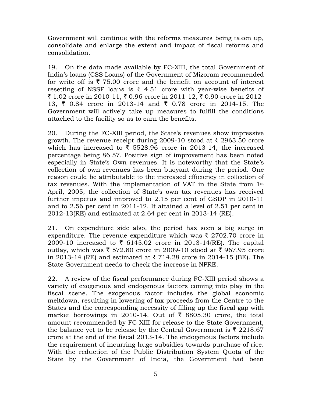Government will continue with the reforms measures being taken up, consolidate and enlarge the extent and impact of fiscal reforms and consolidation.

19. On the data made available by FC-XIII, the total Government of India's loans (CSS Loans) of the Government of Mizoram recommended for write off is  $\bar{\tau}$  75.00 crore and the benefit on account of interest resetting of NSSF loans is  $\bar{\tau}$  4.51 crore with year-wise benefits of ₹ 1.02 crore in 2010-11, ₹ 0.96 crore in 2011-12, ₹ 0.90 crore in 2012-13,  $\bar{\tau}$  0.84 crore in 2013-14 and  $\bar{\tau}$  0.78 crore in 2014-15. The Government will actively take up measures to fulfill the conditions attached to the facility so as to earn the benefits.

20. During the FC-XIII period, the State's revenues show impressive growth. The revenue receipt during 2009-10 stood at  $\bar{\tau}$  2963.50 crore which has increased to  $\bar{\tau}$  5528.96 crore in 2013-14, the increased percentage being 86.57. Positive sign of improvement has been noted especially in State's Own revenues. It is noteworthy that the State's collection of own revenues has been buoyant during the period. One reason could be attributable to the increased efficiency in collection of tax revenues. With the implementation of VAT in the State from 1st April, 2005, the collection of State's own tax revenues has received further impetus and improved to 2.15 per cent of GSDP in 2010-11 and to 2.56 per cent in 2011-12. It attained a level of 2.51 per cent in 2012-13(RE) and estimated at 2.64 per cent in 2013-14 (RE).

21. On expenditure side also, the period has seen a big surge in expenditure. The revenue expenditure which was  $\bar{\zeta}$  2702.70 crore in 2009-10 increased to ₹ 6145.02 crore in 2013-14(RE). The capital outlay, which was  $\bar{\tau}$  572.80 crore in 2009-10 stood at  $\bar{\tau}$  967.95 crore in 2013-14 (RE) and estimated at  $\bar{\tau}$  714.28 crore in 2014-15 (BE). The State Government needs to check the increase in NPRE.

22. A review of the fiscal performance during FC-XIII period shows a variety of exogenous and endogenous factors coming into play in the fiscal scene. The exogenous factor includes the global economic meltdown, resulting in lowering of tax proceeds from the Centre to the States and the corresponding necessity of filling up the fiscal gap with market borrowings in 2010-14. Out of  $\bar{\tau}$  8805.30 crore, the total amount recommended by FC-XIII for release to the State Government, the balance yet to be release by the Central Government is  $\bar{\tau}$  2218.67 crore at the end of the fiscal 2013-14. The endogenous factors include the requirement of incurring huge subsidies towards purchase of rice. With the reduction of the Public Distribution System Quota of the State by the Government of India, the Government had been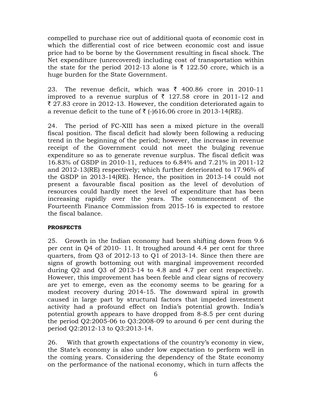compelled to purchase rice out of additional quota of economic cost in which the differential cost of rice between economic cost and issue price had to be borne by the Government resulting in fiscal shock. The Net expenditure (unrecovered) including cost of transportation within the state for the period 2012-13 alone is  $\bar{\tau}$  122.50 crore, which is a huge burden for the State Government.

23. The revenue deficit, which was  $\bar{\tau}$  400.86 crore in 2010-11 improved to a revenue surplus of  $\bar{\tau}$  127.58 crore in 2011-12 and  $\bar{\xi}$  27.83 crore in 2012-13. However, the condition deteriorated again to a revenue deficit to the tune of  $\bar{\zeta}$  (-)616.06 crore in 2013-14(RE).

24. The period of FC-XIII has seen a mixed picture in the overall fiscal position. The fiscal deficit had slowly been following a reducing trend in the beginning of the period; however, the increase in revenue receipt of the Government could not meet the bulging revenue expenditure so as to generate revenue surplus. The fiscal deficit was 16.83% of GSDP in 2010-11, reduces to 6.84% and 7.21% in 2011-12 and 2012-13(RE) respectively; which further deteriorated to 17.96% of the GSDP in 2013-14(RE). Hence, the position in 2013-14 could not present a favourable fiscal position as the level of devolution of resources could hardly meet the level of expenditure that has been increasing rapidly over the years. The commencement of the Fourteenth Finance Commission from 2015-16 is expected to restore the fiscal balance.

# **PROSPECTS**

25. Growth in the Indian economy had been shifting down from 9.6 per cent in Q4 of 2010- 11. It troughed around 4.4 per cent for three quarters, from Q3 of 2012-13 to Q1 of 2013-14. Since then there are signs of growth bottoming out with marginal improvement recorded during Q2 and Q3 of 2013-14 to 4.8 and 4.7 per cent respectively. However, this improvement has been feeble and clear signs of recovery are yet to emerge, even as the economy seems to be gearing for a modest recovery during 2014-15. The downward spiral in growth caused in large part by structural factors that impeded investment activity had a profound effect on India's potential growth. India's potential growth appears to have dropped from 8-8.5 per cent during the period Q2:2005-06 to Q3:2008-09 to around 6 per cent during the period Q2:2012-13 to Q3:2013-14.

26. With that growth expectations of the country's economy in view, the State's economy is also under low expectation to perform well in the coming years. Considering the dependency of the State economy on the performance of the national economy, which in turn affects the